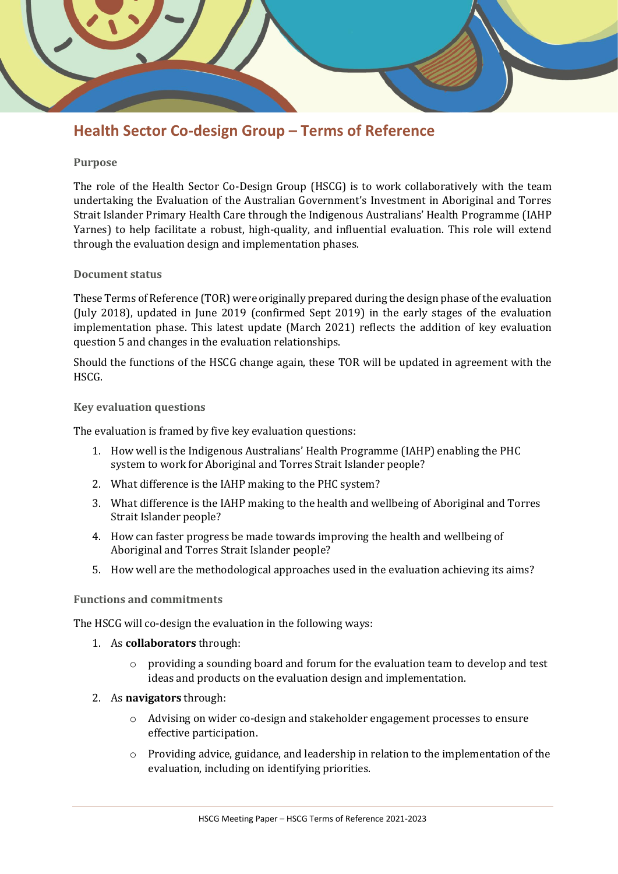

## **Health Sector Co-design Group – Terms of Reference**

#### **Purpose**

The role of the Health Sector Co-Design Group (HSCG) is to work collaboratively with the team undertaking the Evaluation of the Australian Government's Investment in Aboriginal and Torres Strait Islander Primary Health Care through the Indigenous Australians' Health Programme (IAHP Yarnes) to help facilitate a robust, high-quality, and influential evaluation. This role will extend through the evaluation design and implementation phases.

#### **Document status**

These Terms of Reference (TOR) were originally prepared during the design phase of the evaluation (July 2018), updated in June 2019 (confirmed Sept 2019) in the early stages of the evaluation implementation phase. This latest update (March 2021) reflects the addition of key evaluation question 5 and changes in the evaluation relationships.

Should the functions of the HSCG change again, these TOR will be updated in agreement with the HSCG.

#### **Key evaluation questions**

The evaluation is framed by five key evaluation questions:

- 1. How well is the Indigenous Australians' Health Programme (IAHP) enabling the PHC system to work for Aboriginal and Torres Strait Islander people?
- 2. What difference is the IAHP making to the PHC system?
- 3. What difference is the IAHP making to the health and wellbeing of Aboriginal and Torres Strait Islander people?
- 4. How can faster progress be made towards improving the health and wellbeing of Aboriginal and Torres Strait Islander people?
- 5. How well are the methodological approaches used in the evaluation achieving its aims?

#### **Functions and commitments**

The HSCG will co-design the evaluation in the following ways:

- 1. As **collaborators** through:
	- o providing a sounding board and forum for the evaluation team to develop and test ideas and products on the evaluation design and implementation.
- 2. As **navigators** through:
	- o Advising on wider co-design and stakeholder engagement processes to ensure effective participation.
	- $\circ$  Providing advice, guidance, and leadership in relation to the implementation of the evaluation, including on identifying priorities.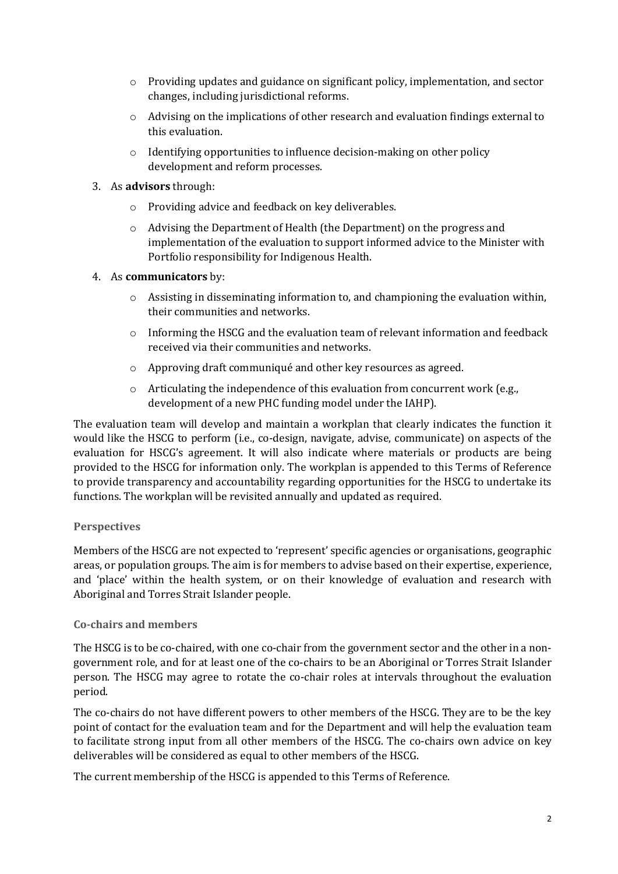- o Providing updates and guidance on significant policy, implementation, and sector changes, including jurisdictional reforms.
- o Advising on the implications of other research and evaluation findings external to this evaluation.
- o Identifying opportunities to influence decision-making on other policy development and reform processes.
- 3. As **advisors** through:
	- o Providing advice and feedback on key deliverables.
	- o Advising the Department of Health (the Department) on the progress and implementation of the evaluation to support informed advice to the Minister with Portfolio responsibility for Indigenous Health.

#### 4. As **communicators** by:

- $\circ$  Assisting in disseminating information to, and championing the evaluation within, their communities and networks.
- $\circ$  Informing the HSCG and the evaluation team of relevant information and feedback received via their communities and networks.
- o Approving draft communiqué and other key resources as agreed.
- $\circ$  Articulating the independence of this evaluation from concurrent work (e.g., development of a new PHC funding model under the IAHP).

The evaluation team will develop and maintain a workplan that clearly indicates the function it would like the HSCG to perform (i.e., co-design, navigate, advise, communicate) on aspects of the evaluation for HSCG's agreement. It will also indicate where materials or products are being provided to the HSCG for information only. The workplan is appended to this Terms of Reference to provide transparency and accountability regarding opportunities for the HSCG to undertake its functions. The workplan will be revisited annually and updated as required.

### **Perspectives**

Members of the HSCG are not expected to 'represent' specific agencies or organisations, geographic areas, or population groups. The aim is for members to advise based on their expertise, experience, and 'place' within the health system, or on their knowledge of evaluation and research with Aboriginal and Torres Strait Islander people.

#### **Co-chairs and members**

The HSCG is to be co-chaired, with one co-chair from the government sector and the other in a nongovernment role, and for at least one of the co-chairs to be an Aboriginal or Torres Strait Islander person. The HSCG may agree to rotate the co-chair roles at intervals throughout the evaluation period.

The co-chairs do not have different powers to other members of the HSCG. They are to be the key point of contact for the evaluation team and for the Department and will help the evaluation team to facilitate strong input from all other members of the HSCG. The co-chairs own advice on key deliverables will be considered as equal to other members of the HSCG.

The current membership of the HSCG is appended to this Terms of Reference.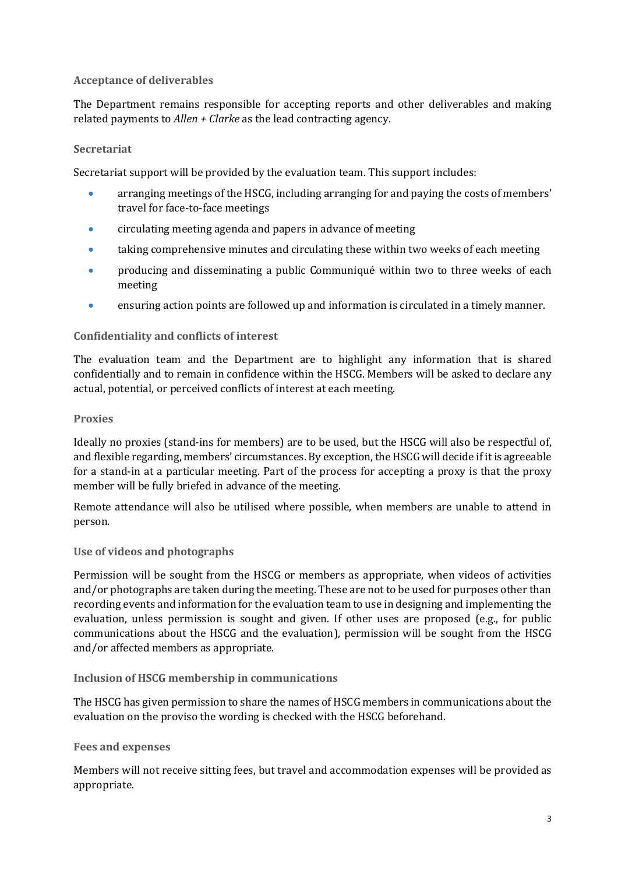#### **Acceptance of deliverables**

The Department remains responsible for accepting reports and other deliverables and making related payments to *Allen + Clarke* as the lead contracting agency.

#### **Secretariat**

Secretariat support will be provided by the evaluation team. This support includes:

- arranging meetings of the HSCG, including arranging for and paying the costs of members' travel for face-to-face meetings
- circulating meeting agenda and papers in advance of meeting
- taking comprehensive minutes and circulating these within two weeks of each meeting
- producing and disseminating a public Communiqué within two to three weeks of each meeting
- ensuring action points are followed up and information is circulated in a timely manner.

#### **Confidentiality and conflicts of interest**

The evaluation team and the Department are to highlight any information that is shared confidentially and to remain in confidence within the HSCG. Members will be asked to declare any actual, potential, or perceived conflicts of interest at each meeting.

#### **Proxies**

Ideally no proxies (stand-ins for members) are to be used, but the HSCG will also be respectful of, and flexible regarding, members' circumstances. By exception, the HSCG will decide if it is agreeable for a stand-in at a particular meeting. Part of the process for accepting a proxy is that the proxy member will be fully briefed in advance of the meeting.

Remote attendance will also be utilised where possible, when members are unable to attend in person.

#### **Use of videos and photographs**

Permission will be sought from the HSCG or members as appropriate, when videos of activities and/or photographs are taken during the meeting. These are not to be used for purposes other than recording events and information for the evaluation team to use in designing and implementing the evaluation, unless permission is sought and given. If other uses are proposed (e.g., for public communications about the HSCG and the evaluation), permission will be sought from the HSCG and/or affected members as appropriate.

#### **Inclusion of HSCG membership in communications**

The HSCG has given permission to share the names of HSCG members in communications about the evaluation on the proviso the wording is checked with the HSCG beforehand.

#### **Fees and expenses**

Members will not receive sitting fees, but travel and accommodation expenses will be provided as appropriate.